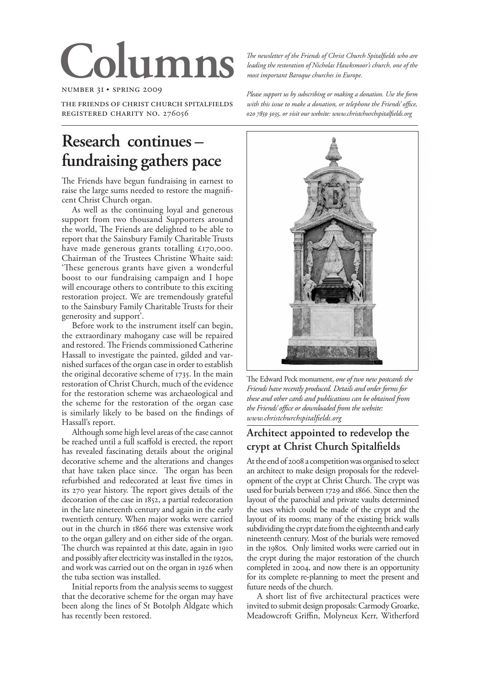# **Columns**

number 31 • spring 2009

the friends of christ church spitalfields registered charity no. 276056

# **Research continues – fundraising gathers pace**

The Friends have begun fundraising in earnest to raise the large sums needed to restore the magnificent Christ Church organ.

As well as the continuing loyal and generous support from two thousand Supporters around the world, The Friends are delighted to be able to report that the Sainsbury Family Charitable Trusts have made generous grants totalling £170,000. Chairman of the Trustees Christine Whaite said: 'These generous grants have given a wonderful boost to our fundraising campaign and I hope will encourage others to contribute to this exciting restoration project. We are tremendously grateful to the Sainsbury Family Charitable Trusts for their generosity and support'.

Before work to the instrument itself can begin, the extraordinary mahogany case will be repaired and restored. The Friends commissioned Catherine Hassall to investigate the painted, gilded and varnished surfaces of the organ case in order to establish the original decorative scheme of 1735. In the main restoration of Christ Church, much of the evidence for the restoration scheme was archaeological and the scheme for the restoration of the organ case is similarly likely to be based on the findings of Hassall's report.

Although some high level areas of the case cannot be reached until a full scaffold is erected, the report has revealed fascinating details about the original decorative scheme and the alterations and changes that have taken place since. The organ has been refurbished and redecorated at least five times in its 270 year history. The report gives details of the decoration of the case in 1852, a partial redecoration in the late nineteenth century and again in the early twentieth century. When major works were carried out in the church in 1866 there was extensive work to the organ gallery and on either side of the organ. The church was repainted at this date, again in 1910 and possibly after electricity was installed in the 1920s, and work was carried out on the organ in 1926 when the tuba section was installed.

Initial reports from the analysis seems to suggest that the decorative scheme for the organ may have been along the lines of St Botolph Aldgate which has recently been restored.

*The newsletter of the Friends of Christ Church Spitalfields who are leading the restoration of Nicholas Hawksmoor's church, one of the most important Baroque churches in Europe.*

*Please support us by subscribing or making a donation. Use the form with this issue to make a donation, or telephone the Friends' office, , or visit our website: www.christchurchspitalfields.org*



The Edward Peck monument, *one of two new postcards the Friends have recently produced. Details and order forms for these and other cards and publications can be obtained from the Friends' office or downloaded from the website: www.christchurchspitalfields.org*

# **Architect appointed to redevelop the crypt at Christ Church Spitalfields**

At the end of 2008 a competition was organised to select an architect to make design proposals for the redevelopment of the crypt at Christ Church. The crypt was used for burials between 1729 and 1866. Since then the layout of the parochial and private vaults determined the uses which could be made of the crypt and the layout of its rooms; many of the existing brick walls subdividing the crypt date from the eighteenth and early nineteenth century. Most of the burials were removed in the 1980s. Only limited works were carried out in the crypt during the major restoration of the church completed in 2004, and now there is an opportunity for its complete re-planning to meet the present and future needs of the church.

A short list of five architectural practices were invited to submit design proposals: Carmody Groarke, Meadowcroft Griffin, Molyneux Kerr, Witherford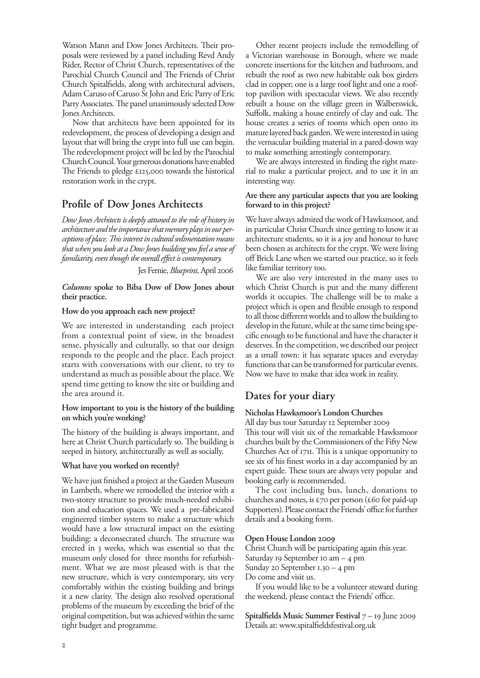Watson Mann and Dow Jones Architects. Their proposals were reviewed by a panel including Revd Andy Rider, Rector of Christ Church, representatives of the Parochial Church Council and The Friends of Christ Church Spitalfields, along with architectural advisers, Adam Caruso of Caruso St John and Eric Parry of Eric Parry Associates. The panel unanimously selected Dow Jones Architects.

Now that architects have been appointed for its redevelopment, the process of developing a design and layout that will bring the crypt into full use can begin. The redevelopment project will be led by the Parochial Church Council. Your generous donations have enabled The Friends to pledge £125,000 towards the historical restoration work in the crypt.

# **Profile of Dow Jones Architects**

*Dow Jones Architects is deeply attuned to the role of history in architecture and the importance that memory plays in our perceptions of place. This interest in cultural sedimentation means that when you look at a Dow Jones building you feel a sense of familiarity, even though the overall effect is contemporary.*

Jes Fernie, *Blueprint*, April 2006

#### *Columns* **spoke to Biba Dow of Dow Jones about their practice.**

#### **How do you approach each new project?**

We are interested in understanding each project from a contextual point of view, in the broadest sense, physically and culturally, so that our design responds to the people and the place. Each project starts with conversations with our client, to try to understand as much as possible about the place. We spend time getting to know the site or building and the area around it.

#### **How important to you is the history of the building on which you're working?**

The history of the building is always important, and here at Christ Church particularly so. The building is seeped in history, architecturally as well as socially.

#### **What have you worked on recently?**

We have just finished a project at the Garden Museum in Lambeth, where we remodelled the interior with a two-storey structure to provide much-needed exhibition and education spaces. We used a pre-fabricated engineered timber system to make a structure which would have a low structural impact on the existing building: a deconsecrated church. The structure was erected in 3 weeks, which was essential so that the museum only closed for three months for refurbishment. What we are most pleased with is that the new structure, which is very contemporary, sits very comfortably within the existing building and brings it a new clarity. The design also resolved operational problems of the museum by exceeding the brief of the original competition, but was achieved within the same tight budget and programme.

Other recent projects include the remodelling of a Victorian warehouse in Borough, where we made concrete insertions for the kitchen and bathroom, and rebuilt the roof as two new habitable oak box girders clad in copper; one is a large roof light and one a rooftop pavilion with spectacular views. We also recently rebuilt a house on the village green in Walberswick, Suffolk, making a house entirely of clay and oak. The house creates a series of rooms which open onto its mature layered back garden. We were interested in using the vernacular building material in a pared-down way to make something arrestingly contemporary.

We are always interested in finding the right material to make a particular project, and to use it in an interesting way.

#### **Are there any particular aspects that you are looking forward to in this project?**

We have always admired the work of Hawksmoor, and in particular Christ Church since getting to know it as architecture students, so it is a joy and honour to have been chosen as architects for the crypt. We were living off Brick Lane when we started our practice, so it feels like familiar territory too.

We are also very interested in the many uses to which Christ Church is put and the many different worlds it occupies. The challenge will be to make a project which is open and flexible enough to respond to all those different worlds and to allow the building to develop in the future, while at the same time being specific enough to be functional and have the character it deserves. In the competition, we described our project as a small town: it has separate spaces and everyday functions that can be transformed for particular events. Now we have to make that idea work in reality.

# **Dates for your diary**

#### **Nicholas Hawksmoor's London Churches**

All day bus tour Saturday 12 September 2009

This tour will visit six of the remarkable Hawksmoor churches built by the Commissioners of the Fifty New Churches Act of 1711. This is a unique opportunity to see six of his finest works in a day accompanied by an expert guide. These tours are always very popular and booking early is recommended.

The cost including bus, lunch, donations to churches and notes, is £70 per person (£60 for paid-up Supporters). Please contact the Friends' office for further details and a booking form.

#### **Open House London 2009**

Christ Church will be participating again this year. Saturday 19 September 10 am – 4 pm Sunday 20 September 1.30 – 4 pm Do come and visit us.

If you would like to be a volunteer steward during the weekend, please contact the Friends' office.

**Spitalfields Music Summer Festival** 7 – 19 June 2009 Details at: www.spitalfieldsfestival.org.uk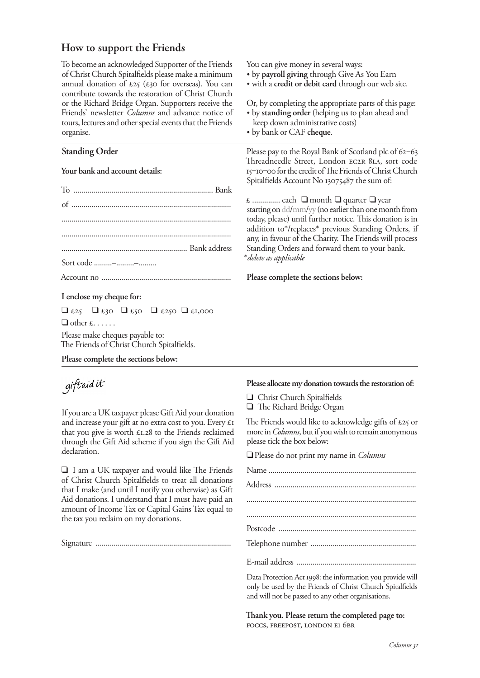## **How to support the Friends**

To become an acknowledged Supporter of the Friends of Christ Church Spitalfields please make a minimum annual donation of  $\epsilon_{25}$  ( $\epsilon_{30}$  for overseas). You can contribute towards the restoration of Christ Church or the Richard Bridge Organ. Supporters receive the Friends' newsletter *Columns* and advance notice of tours, lectures and other special events that the Friends organise.

#### **Standing Order**

#### **Your bank and account details:**

| Sort code -- |  |
|--------------|--|
|              |  |

#### **I enclose my cheque for:**

 $\Box$  £25  $\Box$  £30  $\Box$  £50  $\Box$  £1,000  $\Box$  other  $f_1, \ldots$ . Please make cheques payable to:

The Friends of Christ Church Spitalfields.

**Please complete the sections below:**

# giftaid it

If you are a UK taxpayer please Gift Aid your donation If you are a UK taxpayer please Gift Aid your donation and increase your gift at no extra cost to you. Every £1 that you give is worth  $£1.28$  to the Friends reclaimed through the Gift Aid scheme if you sign the Gift Aid declaration.

Q I am a UK taxpayer and would like The Friends of Christ Church Spitalfields to treat all donations that I make (and until I notify you otherwise) as Gift Aid donations. I understand that I must have paid an amount of Income Tax or Capital Gains Tax equal to the tax you reclaim on my donations.

Signature ....................................................................

#### You can give money in several ways:

- by **payroll giving** through Give As You Earn
- with a **credit or debit card** through our web site.

Or, by completing the appropriate parts of this page: • by **standing order** (helping us to plan ahead and

- keep down administrative costs)
- by bank or CAF **cheque**.

Please pay to the Royal Bank of Scotland plc of 62-63 Threadneedle Street, London EC2R 8LA, sort code 15-10-00 for the credit of The Friends of Christ Church Spitalfields Account No 13075487 the sum of:

 $\epsilon$  ................ each  $\Box$  month  $\Box$  quarter  $\Box$  year starting on dd/mm/yy (no earlier than one month from today, please) until further notice. This donation is in addition to\*/replaces\* previous Standing Orders, if any, in favour of the Charity. The Friends will process Standing Orders and forward them to your bank. \**delete as applicable*

#### **Please complete the sections below:**

#### **Please allocate my donation towards the restoration of:**

- Q Christ Church Spitalfields
- Q The Richard Bridge Organ

The Friends would like to acknowledge gifts of  $\epsilon$ 25 or more in *Columns*, but if you wish to remain anonymous please tick the box below:

QPlease do not print my name in *Columns*

Data Protection Act 1998: the information you provide will only be used by the Friends of Christ Church Spitalfields and will not be passed to any other organisations.

**Thank you. Please return the completed page to:** FOCCS, FREEPOST, LONDON EI 6BR